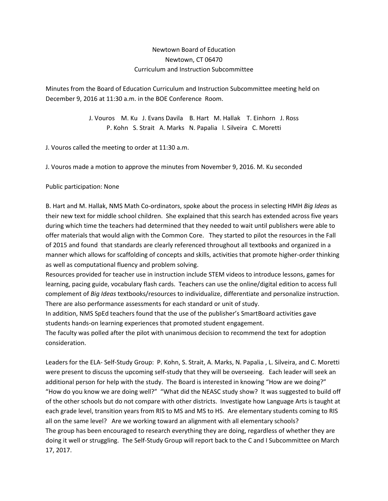## Newtown Board of Education Newtown, CT 06470 Curriculum and Instruction Subcommittee

Minutes from the Board of Education Curriculum and Instruction Subcommittee meeting held on December 9, 2016 at 11:30 a.m. in the BOE Conference Room.

> J. Vouros M. Ku J. Evans Davila B. Hart M. Hallak T. Einhorn J. Ross P. Kohn S. Strait A. Marks N. Papalia l. Silveira C. Moretti

J. Vouros called the meeting to order at 11:30 a.m.

J. Vouros made a motion to approve the minutes from November 9, 2016. M. Ku seconded

## Public participation: None

B. Hart and M. Hallak, NMS Math Co-ordinators, spoke about the process in selecting HMH *Big Ideas* as their new text for middle school children. She explained that this search has extended across five years during which time the teachers had determined that they needed to wait until publishers were able to offer materials that would align with the Common Core. They started to pilot the resources in the Fall of 2015 and found that standards are clearly referenced throughout all textbooks and organized in a manner which allows for scaffolding of concepts and skills, activities that promote higher-order thinking as well as computational fluency and problem solving.

Resources provided for teacher use in instruction include STEM videos to introduce lessons, games for learning, pacing guide, vocabulary flash cards. Teachers can use the online/digital edition to access full complement of *Big Ideas* textbooks/resources to individualize, differentiate and personalize instruction. There are also performance assessments for each standard or unit of study.

In addition, NMS SpEd teachers found that the use of the publisher's SmartBoard activities gave students hands-on learning experiences that promoted student engagement.

The faculty was polled after the pilot with unanimous decision to recommend the text for adoption consideration.

Leaders for the ELA- Self-Study Group: P. Kohn, S. Strait, A. Marks, N. Papalia , L. Silveira, and C. Moretti were present to discuss the upcoming self-study that they will be overseeing. Each leader will seek an additional person for help with the study. The Board is interested in knowing "How are we doing?" "How do you know we are doing well?" "What did the NEASC study show? It was suggested to build off of the other schools but do not compare with other districts. Investigate how Language Arts is taught at each grade level, transition years from RIS to MS and MS to HS. Are elementary students coming to RIS all on the same level? Are we working toward an alignment with all elementary schools? The group has been encouraged to research everything they are doing, regardless of whether they are doing it well or struggling. The Self-Study Group will report back to the C and I Subcommittee on March 17, 2017.